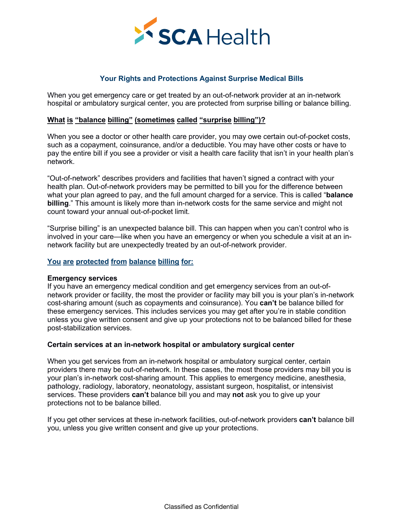

# **What is "balance billing" (sometimes called "surprise billing")?**

**SCA Health**<br>
Your Rights and Protections Against Surprise Medical Bills<br>
When you get emergency care or get treated by an out-of-network provider at an in-network<br>
hospital or ambulatory surgical center, you are protecte Such as a copayment, coinsurance, and/or a deductible. You may have other costs or have the entergency care or get treated by an out-of-network provider at an in-network hospital or ambulatory surgical center, you are prot Your Rights and Protections Against Surprise Medical Bills<br>When you get emergency care or get treated by an out-of-network provider at an in-network<br>hospital or ambulatory surgical center, you are protected from surprise b network.

Your Rights and Protections Against Surprise Medical Bills<br>
When you get emergency care or get treated by an out-of-network provider at an in-network<br>
hospital or ambulatory surgical center, you are protected from surprise Four Kignits and Procectoris Against Surprise medical bills<br>hospital or ambulatory surgical center, you are protected from surprise billing or balance billing.<br>What is "balance billing" (sometimes called "surprise billing" When you get emergency care or get treated by an out-of-network provider at an in-network<br>hospital or ambulatory surgical center, you are protected from surprise billing or balance billing.<br>What is "balance billing" (somet **billing**. This amount of the protected from surprise billing or balance billing.<br> **billing** is "balance billing" (sometimes called "surprise billing")?<br>
When you see a doctor or other health care provider, you may owe cer Mhat is "balance billing" (sometimes called "surprise billing")?<br>When you see a doctor or other health care provider, you may owe certain<br>such as a copayment, coinsurance, and/or a deductible. You may have otleay<br>the entir When you see a doctor or other health care provider, you may owe certain out-of-pocket costs, such as a copayment, coinsurance, and/or a deductible. You may have other costs or have to spay the entire bill if you see a pro When you see a doctor or other health care provider, you may owe certain out-of-pocket costs, such as a copayment, coinsurance, and/or a deductible. You may have other costs or have to pay the entire bill if you see a prov wher you are a coolor of order freating dart component, you may over certain out-of-network cosas,<br>the as a copayment, coinsurance, and/or a deductible. You may have other costs or have to<br>pay the entire bill if you see a "Out-of-network" describes providers and facilit<br>health plan. Out-of-network providers may be p<br>what your plan agreed to pay, and the full amou<br>billing." This amount is likely more than in-netv<br>count toward your annual out

### **You are protected from balance billing for:**

Our-Drenework versolvies an emergency medical condition and get emergency can be difference between<br>the alth plan. Out-of-network providers may be permitted to bill you for the difference between<br>that your plan agreed to p netain pain: our-metwork providers may be perimined to buil your inter unit would had tyour plan agreed to pay, and the full amount charged for a service. This is called "balance billing." This amount is likely more than i with your pair expects to puy, and the four amount catalystic of a seriect chiral sharing that count toward your annual out-of-pocket limit.<br>"Surprise billing" is an unexpected balance bill. This can happen when you can't **Example:** This amount content and give up the same service and might not contribute the surprise billing" is an unexpected balance bill. This can happen when you can't control who is involved in your care—like when you ha Count toward your annual out-or-pocket infinit.<br>
"Surprise billing" is an unexpected balance bill. This can happen when you can't control who is<br>
involved in your care—like when you have an emergency or when you schedule a "Surprise billing" is an unexpected balance bill. This<br>involved in your care—like when you have an emergenetwork facility but are unexpectedly treated by an our<br>**You are protected from balance billing for:**<br>**Emergency serv** network facility but are unexpectedly treated by an out-of-network provider.<br>
You are protected from balance billing for:<br>
If you have an emergency medical condition and get emergency services from an out-of-<br>
If you have You are protected from balance billing for:<br>
If you have an emergency medical condition and get emergency services from an out-of-<br>
If you have an emergency medical condition and get emergency services from an out-of-<br>
net The may be provided it in the may be the may be the may be the may be the method if you have an emergency services from an out-of-<br>If you have an emergency medical condition and get emergency services from an out-of-networ **Emergency services**<br>If you have an emergency medical condition and get emergency services from an out-of-<br>network provider or facility, the most the provider or facility may bill you is your plan's in-network<br>cost-sharing Enveryency services from an out-of-<br>Elf you have an emergency medical condition and get emergency services from an out-of-<br>network provider or facility, the most the provider or facility may bill you is your plan's in-netw

in you have an comegnoty incustan containon and give up your going to the seminal no uncour-<br>network provider or facility, the most the provider or facility may bill you is your plan's in-network<br>cost-sharing amount (such nework provider or racing, the most the provider or racing may<br>cost-sharing amount (such as copayments and coinsurance). Yet<br>these emergency services. This includes services you may get a<br>unless you give written consent an If you get other services. This interest you and give up your protections not to be balanced billed for these post-stabilization services.<br> **Certain services at an in-network hospital or ambulatory surgical center**<br>
When y anness you give written consent and give up your protections not to be balanced bined to post-stabilization services.<br> **Certain services at an in-network hospital or ambulatory surgical center**<br>
When you get services from

network facilities, out-of-network pand give up your protections.<br>
and give up your protections.<br>
Classified as Confidential